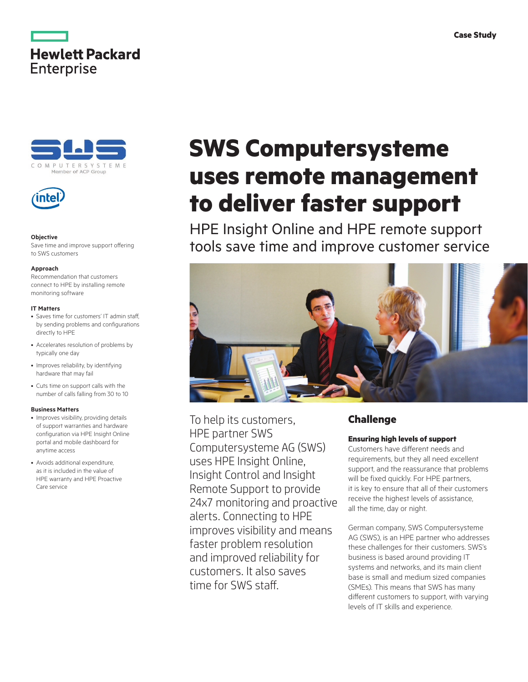





#### **Objective**

Save time and improve support offering to SWS customers

#### **Approach**

Recommendation that customers connect to HPE by installing remote monitoring software

#### **IT Matters**

- Saves time for customers' IT admin staff, by sending problems and configurations directly to HPE
- Accelerates resolution of problems by typically one day
- Improves reliability, by identifying hardware that may fail
- Cuts time on support calls with the number of calls falling from 30 to 10

#### **Business Matters**

- Improves visibility, providing details of support warranties and hardware configuration via HPE Insight Online portal and mobile dashboard for anytime access
- Avoids additional expenditure, as it is included in the value of HPE warranty and HPE Proactive Care service

# **SWS Computersysteme uses remote management to deliver faster support**

HPE Insight Online and HPE remote support tools save time and improve customer service



To help its customers, HPE partner SWS Computersysteme AG (SWS) uses HPE Insight Online, Insight Control and Insight Remote Support to provide 24x7 monitoring and proactive alerts. Connecting to HPE improves visibility and means faster problem resolution and improved reliability for customers. It also saves time for SWS staff.

# **Challenge**

## **Ensuring high levels of support**

Customers have different needs and requirements, but they all need excellent support, and the reassurance that problems will be fixed quickly. For HPE partners, it is key to ensure that all of their customers receive the highest levels of assistance, all the time, day or night.

German company, SWS Computersysteme AG (SWS), is an HPE partner who addresses these challenges for their customers. SWS's business is based around providing IT systems and networks, and its main client base is small and medium sized companies (SMEs). This means that SWS has many different customers to support, with varying levels of IT skills and experience.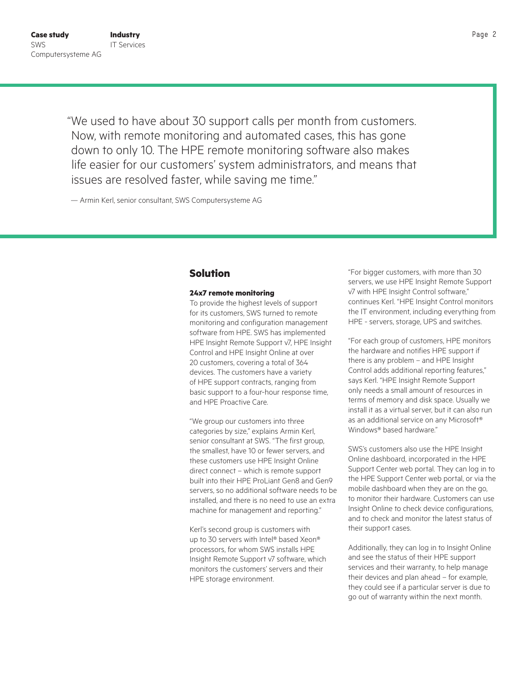"We used to have about 30 support calls per month from customers. Now, with remote monitoring and automated cases, this has gone down to only 10. The HPE remote monitoring software also makes life easier for our customers' system administrators, and means that issues are resolved faster, while saving me time."

— Armin Kerl, senior consultant, SWS Computersysteme AG

# **Solution**

#### **24x7 remote monitoring**

To provide the highest levels of support for its customers, SWS turned to remote monitoring and configuration management software from HPE. SWS has implemented HPE Insight Remote Support v7, HPE Insight Control and HPE Insight Online at over 20 customers, covering a total of 364 devices. The customers have a variety of HPE support contracts, ranging from basic support to a four-hour response time, and HPE Proactive Care.

"We group our customers into three categories by size," explains Armin Kerl, senior consultant at SWS. "The first group, the smallest, have 10 or fewer servers, and these customers use HPE Insight Online direct connect – which is remote support built into their HPE ProLiant Gen8 and Gen9 servers, so no additional software needs to be installed, and there is no need to use an extra machine for management and reporting."

Kerl's second group is customers with up to 30 servers with Intel® based Xeon® processors, for whom SWS installs HPE Insight Remote Support v7 software, which monitors the customers' servers and their HPE storage environment.

"For bigger customers, with more than 30 servers, we use HPE Insight Remote Support v7 with HPE Insight Control software," continues Kerl. "HPE Insight Control monitors the IT environment, including everything from HPE - servers, storage, UPS and switches.

"For each group of customers, HPE monitors the hardware and notifies HPE support if there is any problem – and HPE Insight Control adds additional reporting features," says Kerl. "HPE Insight Remote Support only needs a small amount of resources in terms of memory and disk space. Usually we install it as a virtual server, but it can also run as an additional service on any Microsoft® Windows® based hardware."

SWS's customers also use the HPE Insight Online dashboard, incorporated in the HPE Support Center web portal. They can log in to the HPE Support Center web portal, or via the mobile dashboard when they are on the go, to monitor their hardware. Customers can use Insight Online to check device configurations, and to check and monitor the latest status of their support cases.

Additionally, they can log in to Insight Online and see the status of their HPE support services and their warranty, to help manage their devices and plan ahead – for example, they could see if a particular server is due to go out of warranty within the next month.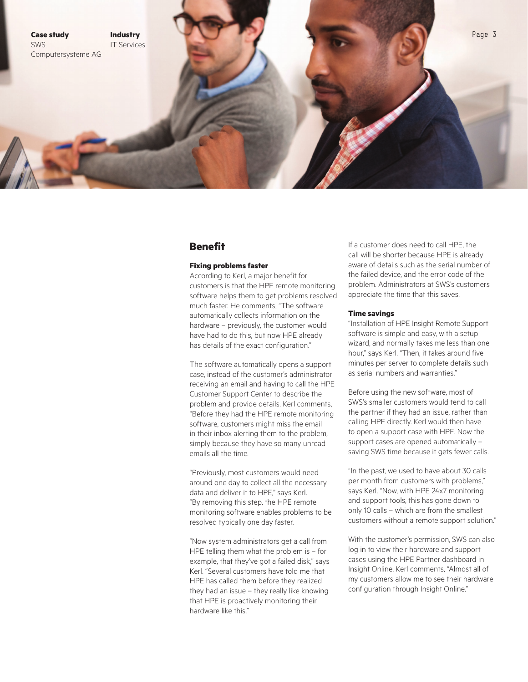

## **Benefit**

### **Fixing problems faster**

According to Kerl, a major benefit for customers is that the HPE remote monitoring software helps them to get problems resolved much faster. He comments, "The software automatically collects information on the hardware – previously, the customer would have had to do this, but now HPE already has details of the exact configuration."

The software automatically opens a support case, instead of the customer's administrator receiving an email and having to call the HPE Customer Support Center to describe the problem and provide details. Kerl comments, "Before they had the HPE remote monitoring software, customers might miss the email in their inbox alerting them to the problem, simply because they have so many unread emails all the time.

"Previously, most customers would need around one day to collect all the necessary data and deliver it to HPE," says Kerl. "By removing this step, the HPE remote monitoring software enables problems to be resolved typically one day faster.

"Now system administrators get a call from HPE telling them what the problem is – for example, that they've got a failed disk," says Kerl. "Several customers have told me that HPE has called them before they realized they had an issue – they really like knowing that HPE is proactively monitoring their hardware like this."

If a customer does need to call HPE, the call will be shorter because HPE is already aware of details such as the serial number of the failed device, and the error code of the problem. Administrators at SWS's customers appreciate the time that this saves.

#### **Time savings**

"Installation of HPE Insight Remote Support software is simple and easy, with a setup wizard, and normally takes me less than one hour," says Kerl. "Then, it takes around five minutes per server to complete details such as serial numbers and warranties."

Before using the new software, most of SWS's smaller customers would tend to call the partner if they had an issue, rather than calling HPE directly. Kerl would then have to open a support case with HPE. Now the support cases are opened automatically – saving SWS time because it gets fewer calls.

"In the past, we used to have about 30 calls per month from customers with problems," says Kerl. "Now, with HPE 24x7 monitoring and support tools, this has gone down to only 10 calls – which are from the smallest customers without a remote support solution."

With the customer's permission, SWS can also log in to view their hardware and support cases using the HPE Partner dashboard in Insight Online. Kerl comments, "Almost all of my customers allow me to see their hardware configuration through Insight Online."